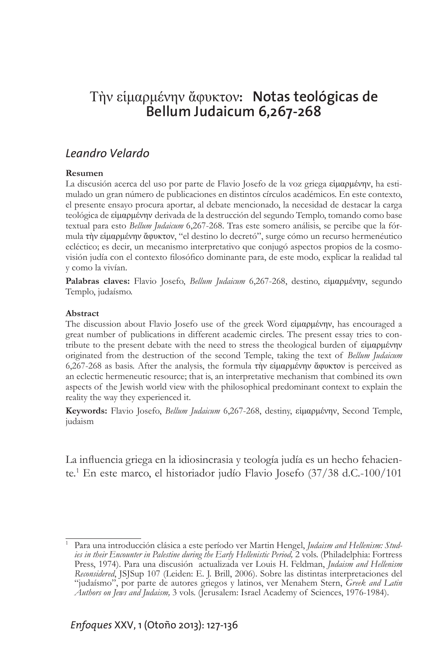## Τὴν εἱμαρμένην ἄφυκτον**: Notas teológicas de Bellum Judaicum 6,267-268**

## *Leandro Velardo*

## **Resumen**

La discusión acerca del uso por parte de Flavio Josefo de la voz griega εἱμαρμένην, ha estimulado un gran número de publicaciones en distintos círculos académicos. En este contexto, el presente ensayo procura aportar, al debate mencionado, la necesidad de destacar la carga teológica de εἱμαρμένην derivada de la destrucción del segundo Templo, tomando como base textual para esto *Bellum Judaicum* 6,267-268. Tras este somero análisis, se percibe que la fórmula τὴν εἱμαρμένην ἄφυκτον, "el destino lo decretó", surge cómo un recurso hermenéutico ecléctico; es decir, un mecanismo interpretativo que conjugó aspectos propios de la cosmovisión judía con el contexto filosófico dominante para, de este modo, explicar la realidad tal y como la vivían.

**Palabras claves:** Flavio Josefo, *Bellum Judaicum* 6,267-268, destino, εἱμαρμένην, segundo Templo, judaísmo.

## **Abstract**

The discussion about Flavio Josefo use of the greek Word εἱμαρμένην, has encouraged a great number of publications in different academic circles. The present essay tries to contribute to the present debate with the need to stress the theological burden of εἱμαρμένην originated from the destruction of the second Temple, taking the text of *Bellum Judaicum* 6,267-268 as basis. After the analysis, the formula τὴν εἱμαρμένην ἄφυκτον is perceived as an eclectic hermeneutic resource; that is, an interpretative mechanism that combined its own aspects of the Jewish world view with the philosophical predominant context to explain the reality the way they experienced it.

**Keywords:** Flavio Josefo, *Bellum Judaicum* 6,267-268, destiny, εἱμαρμένην, Second Temple, judaism

La influencia griega en la idiosincrasia y teología judía es un hecho fehaciente.1 En este marco, el historiador judío Flavio Josefo (37/38 d.C.-100/101

<sup>1</sup> Para una introducción clásica a este período ver Martin Hengel, *Judaism and Hellenism: Studies in their Encounter in Palestine during the Early Hellenistic Period,* 2 vols. (Philadelphia: Fortress Press, 1974). Para una discusión actualizada ver Louis H. Feldman, *Judaism and Hellenism Reconsidered*, JSJSup 107 (Leiden: E. J. Brill, 2006). Sobre las distintas interpretaciones del "judaísmo", por parte de autores griegos y latinos, ver Menahem Stern, *Greek and Latin Authors on Jews and Judaism,* 3 vols. (Jerusalem: Israel Academy of Sciences, 1976-1984).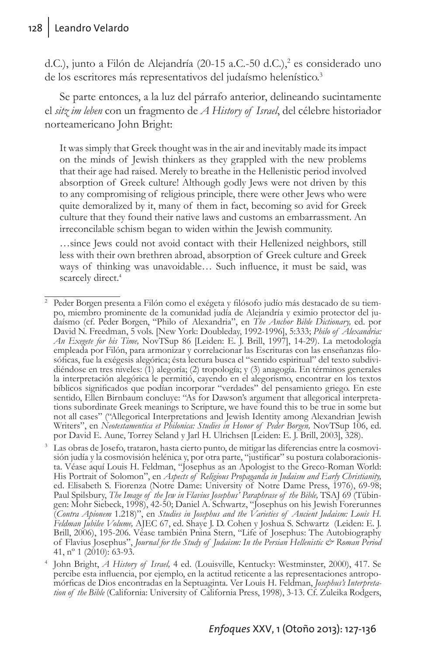d.C.), junto a Filón de Alejandría (20-15 a.C.-50 d.C.),<sup>2</sup> es considerado uno de los escritores más representativos del judaísmo helenístico.<sup>3</sup>

Se parte entonces, a la luz del párrafo anterior, delineando sucintamente el *sitz im leben* con un fragmento de *A History of Israel*, del célebre historiador norteamericano John Bright:

It was simply that Greek thought was in the air and inevitably made its impact on the minds of Jewish thinkers as they grappled with the new problems that their age had raised. Merely to breathe in the Hellenistic period involved absorption of Greek culture! Although godly Jews were not driven by this to any compromising of religious principle, there were other Jews who were quite demoralized by it, many of them in fact, becoming so avid for Greek culture that they found their native laws and customs an embarrassment. An irreconcilable schism began to widen within the Jewish community.

…since Jews could not avoid contact with their Hellenized neighbors, still less with their own brethren abroad, absorption of Greek culture and Greek ways of thinking was unavoidable… Such influence, it must be said, was scarcely direct.<sup>4</sup>

<sup>3</sup> Las obras de Josefo, trataron, hasta cierto punto, de mitigar las diferencias entre la cosmovisión judía y la cosmovisión helénica y, por otra parte, "justificar" su postura colaboracionista. Véase aquí Louis H. Feldman, "Josephus as an Apologist to the Greco-Roman World: His Portrait of Solomon", en *Aspects of Religious Propaganda in Judaism and Early Christianity,* ed. Elisabeth S. Fiorenza (Notre Dame: University of Notre Dame Press, 1976), 69-98;<br>Paul Spilsbury, The Image of the Jew in Flavius Josephus' Paraphrase of the Bible, TSAJ 69 (Tübingen: Mohr Siebeck, 1998), 42-50; Daniel A. Schwartz, "Josephus on his Jewish Forerunnes (*Contra Apionem* 1.218)", en *Studies in Josephus and the Varieties of Ancient Judaism: Louis H. Feldman Jubilee Volume,* AJEC 67, ed. Shaye J. D. Cohen y Joshua S. Schwartz (Leiden: E. J. Brill, 2006), 195-206. Véase también Pnina Stern, "Life of Josephus: The Autobiography of Flavius Josephus", *Journal for the Study of Judaism: In the Persian Hellenistic & Roman Period* 41, nº 1 (2010): 63-93.

<sup>2</sup> Peder Borgen presenta a Filón como el exégeta y filósofo judío más destacado de su tiempo, miembro prominente de la comunidad judía de Alejandría y eximio protector del judaísmo (cf. Peder Borgen, "Philo of Alexandria", en *The Anchor Bible Dictionary,* ed. por David N. Freedman, 5 vols. [New York: Doubleday, 1992-1996], 5:333; *Philo of Alexandria: An Exegete for his Time,* NovTSup 86 [Leiden: E. J. Brill, 1997], 14-29). La metodología empleada por Filón, para armonizar y correlacionar las Escrituras con las enseñanzas filosóficas, fue la exégesis alegórica; ésta lectura busca el "sentido espiritual" del texto subdividiéndose en tres niveles: (1) alegoría; (2) tropología; y (3) anagogía. En términos generales la interpretación alegórica le permitió, cayendo en el alegorismo, encontrar en los textos bíblicos significados que podían incorporar "verdades" del pensamiento griego. En este sentido, Ellen Birnbaum concluye: "As for Dawson's argument that allegorical interpretations subordinate Greek meanings to Scripture, we have found this to be true in some but not all cases" ("Allegorical Interpretations and Jewish Identity among Alexandrian Jewish Writers", en *Neotestamentica et Philonica: Studies in Honor of Peder Borgen,* NovTSup 106, ed. por David E. Aune, Torrey Seland y Jarl H. Ulrichsen [Leiden: E. J. Brill, 2003], 328).

<sup>4</sup> John Bright, *A History of Israel,* 4 ed. (Louisville, Kentucky: Westminster, 2000), 417. Se percibe esta influencia, por ejemplo, en la actitud reticente a las representaciones antropo-<br>mórficas de Dios encontradas en la Septuaginta. Ver Louis H. Feldman, Josephus's Interpretation of the Bible (California: University of California Press, 1998), 3-13. Cf. Zuleika Rodgers,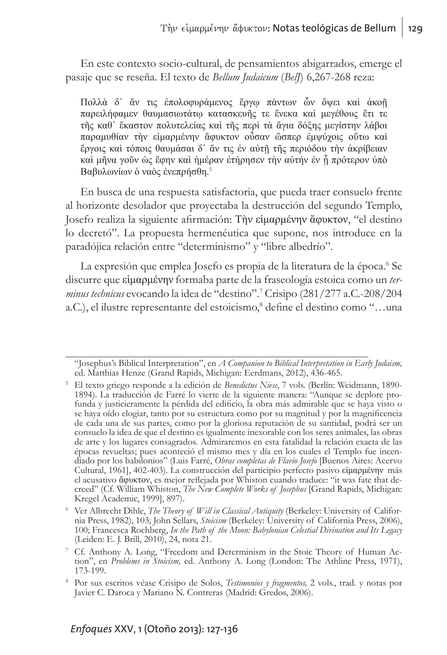En este contexto socio-cultural, de pensamientos abigarrados, emerge el pasaje que se reseña. El texto de *Bellum Judaicum* (*BelJ*) 6,267-268 reza:

Πολλὰ δ᾽ ἄν τις ἐπολοφυράμενος ἔργῳ πάντων ὧν ὄψει καὶ ἀκοῇ παρειλήφαμεν θαυμασιωτάτῳ κατασκευῆς τε ἕνεκα καὶ μεγέθους ἔτι τε τῆς καθ᾽ ἕκαστον πολυτελείας καὶ τῆς περὶ τὰ ἅγια δόξης μεγίστην λάβοι παραμυθίαν τὴν εἱμαρμένην ἄφυκτον οὖσαν ὥσπερ ἐμψύχοις οὕτω καὶ ἔργοις καὶ τόποις θαυμάσαι δ᾽ ἄν τις ἐν αὐτῇ τῆς περιόδου τὴν ἀκρίβειαν καὶ μῆνα γοῦν ὡς ἔφην καὶ ἡμέραν ἐτήρησεν τὴν αὐτήν ἐν ᾗ πρότερον ὑπὸ Βαβυλωνίων ὁ ναὸς ἐνεπρήσθη. 5

En busca de una respuesta satisfactoria, que pueda traer consuelo frente al horizonte desolador que proyectaba la destrucción del segundo Templo, Josefo realiza la siguiente afirmación: Τὴν εἱμαρμένην ἄφυκτον, "el destino lo decretó". La propuesta hermenéutica que supone, nos introduce en la paradójica relación entre "determinismo" y "libre albedrío".

La expresión que emplea Josefo es propia de la literatura de la época.<sup>6</sup> Se discurre que εἱμαρμένην formaba parte de la fraseología estoica como un *ter*minus technicus evocando la idea de "destino".<sup>7</sup> Crisipo (281/277 a.C.-208/204 a.C.), el ilustre representante del estoicismo,<sup>8</sup> define el destino como "...una

<sup>&</sup>quot;Josephus's Biblical Interpretation", en *A Companion to Biblical Interpretation in Early Judaism,* ed. Matthias Henze (Grand Rapids, Michigan: Eerdmans, 2012), 436-465.

<sup>5</sup> El texto griego responde a la edición de *Benedictus Niese*, 7 vols. (Berlín: Weidmann, 1890- 1894). La traducción de Farré lo vierte de la siguiente manera: "Aunque se deplore pro- funda y justicieramente la pérdida del edificio, la obra más admirable que se haya visto o se haya oído elogiar, tanto por su estructura como por su magnitud y por la magnificencia de cada una de sus partes, como por la gloriosa reputación de su santidad, podrá ser un consuelo la idea de que el destino es igualmente inexorable con los seres animales, las obras de arte y los lugares consagrados. Admiraremos en esta fatalidad la relación exacta de las épocas revueltas; pues aconteció el mismo mes y día en los cuales el Templo fue incendiado por los babilonios" (Luis Farré, *Obras completas de Flavio Josefo* [Buenos Aires: Acervo Cultural, 1961], 402-403). La construcción del participio perfecto pasivo εἱμαρμένην más el acusativo ἄφυκτον, es mejor reflejada por Whiston cuando traduce: "it was fate that decreed" (Cf. William Whiston, *The New Complete Works of Josephus* [Grand Rapids, Michigan: Kregel Academic, 1999], 897).

<sup>6</sup> Ver Albrecht Dihle, *The Theory of Will in Classical Antiquity* (Berkeley: University of California Press, 1982), 103; John Sellars, *Stoicism* (Berkeley: University of California Press, 2006), 100; Francesca Rochberg, *In the Path of the Moon: Babylonian Celestial Divination and Its Legacy* (Leiden: E. J. Brill, 2010), 24, nota 21.

<sup>7</sup> Cf. Anthony A. Long, "Freedom and Determinism in the Stoic Theory of Human Ac- tion", en *Problems in Stoicism,* ed. Anthony A. Long (London: The Athline Press, 1971), 173-199.

<sup>8</sup> Por sus escritos véase Crisipo de Solos, *Testimonios y fragmentos,* 2 vols., trad. y notas por Javier C. Daroca y Mariano N. Contreras (Madrid: Gredos, 2006).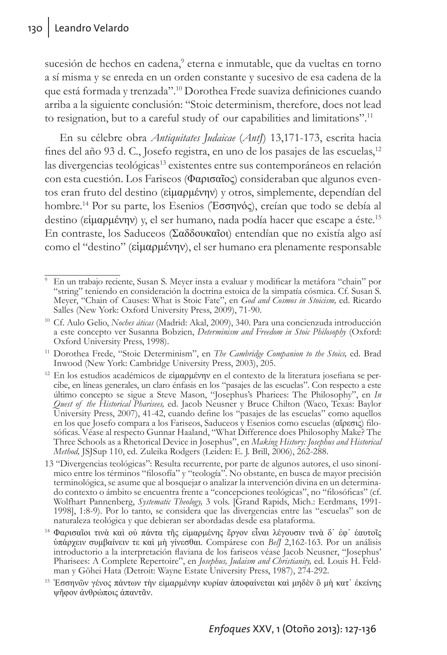sucesión de hechos en cadena,<sup>9</sup> eterna e inmutable, que da vueltas en torno a sí misma y se enreda en un orden constante y sucesivo de esa cadena de la que está formada y trenzada".10 Dorothea Frede suaviza definiciones cuando arriba a la siguiente conclusión: "Stoic determinism, therefore, does not lead to resignation, but to a careful study of our capabilities and limitations".<sup>11</sup>

En su célebre obra *Antiquitates Judaicae* (*AntJ*) 13,171-173, escrita hacia fines del año 93 d. C., Josefo registra, en uno de los pasajes de las escuelas,<sup>12</sup> las divergencias teológicas<sup>13</sup> existentes entre sus contemporáneos en relación con esta cuestión. Los Fariseos (Φαρισαῖος) consideraban que algunos eventos eran fruto del destino (εἱμαρμένην) y otros, simplemente, dependían del hombre.14 Por su parte, los Esenios (Ἐσσηνός), creían que todo se debía al destino (είμαρμένην) y, el ser humano, nada podía hacer que escape a éste.<sup>15</sup> En contraste, los Saduceos (Σαδδουκαῖοι) entendían que no existía algo así como el "destino" (εἱμαρμένην), el ser humano era plenamente responsable

<sup>9</sup> En un trabajo reciente, Susan S. Meyer insta a evaluar y modificar la metáfora "chain" por "string" teniendo en consideración la doctrina estoica de la simpatía cósmica. Cf. Susan S. Meyer, "Chain of Causes: What is Stoic Fate", en *God and Cosmos in Stoicism,* ed. Ricardo Salles (New York: Oxford University Press, 2009), 71-90.

<sup>10</sup> Cf. Aulo Gelio, *Noches áticas* (Madrid: Akal, 2009), 340. Para una concienzuda introducción a este concepto ver Susanna Bobzien, *Determinism and Freedom in Stoic Philosophy* (Oxford: Oxford University Press, 1998).

<sup>11</sup> Dorothea Frede, "Stoic Determinism", en *The Cambridge Companion to the Stoics,* ed. Brad Inwood (New York: Cambridge University Press, 2003), 205.

<sup>&</sup>lt;sup>12</sup> En los estudios académicos de εἱμαρμένην en el contexto de la literatura josefiana se percibe, en líneas generales, un claro énfasis en los "pasajes de las escuelas". Con respecto a este último concepto se sigue a Steve Mason, "Josephus's Phariees: The Philosophy", en *In Quest of the Historical Pharisees,* ed. Jacob Neusner y Bruce Chilton (Waco, Texas: Baylor University Press, 2007), 41-42, cuando define los "pasajes de las escuelas" como aquellos en los que Josefo compara a los Fariseos, Saduceos y Esenios como escuelas (αἵρεσις) filosóficas. Véase al respecto Gunnar Haaland, "What Difference does Philosophy Make? The Three Schools as a Rhetorical Device in Josephus", en *Making History: Josephus and Historical Method,* JSJSup 110, ed. Zuleika Rodgers (Leiden: E. J. Brill, 2006), 262-288.

<sup>13 &</sup>quot;Divergencias teológicas": Resulta recurrente, por parte de algunos autores, el uso sinonímico entre los términos "filosofía" y "teología". No obstante, en busca de mayor precisión terminológica, se asume que al bosquejar o analizar la intervención divina en un determinado contexto o ámbito se encuentra frente a "concepciones teológicas", no "filosóficas" (cf. Wolfhart Pannenberg, *Systematic Theology,* 3 vols. [Grand Rapids, Mich.: Eerdmans, 1991- 1998], 1:8-9). Por lo tanto, se considera que las divergencias entre las "escuelas" son de naturaleza teológica y que debieran ser abordadas desde esa plataforma.

<sup>&</sup>lt;sup>14</sup> Φαρισαῖοι τινὰ καὶ οὐ πάντα τῆς εἱμαρμένης ἔργον εἶναι λέγουσιν τινὰ δ᾽ ἐφ᾽ ἑαυτοῖς ὑπάρχειν συμβαίνειν τε καὶ μὴ γίνεσθαι. Compárese con *BelJ* 2,162-163. Por un análisis introductorio a la interpretación flaviana de los fariseos véase Jacob Neusner, "Josephus' Pharisees: A Complete Repertoire", en *Josephus, Judaism and Christianity,* ed. Louis H. Feld- man y Gōhei Hata (Detroit: Wayne Estate University Press, 1987), 274-292.

<sup>15</sup> Ἐσσηνῶν γένος πάντων τὴν εἱμαρμένην κυρίαν ἀποφαίνεται καὶ μηδὲν ὃ μὴ κατ᾽ ἐκείνης ψῆφον ἀνθρώποις ἀπαντᾶν.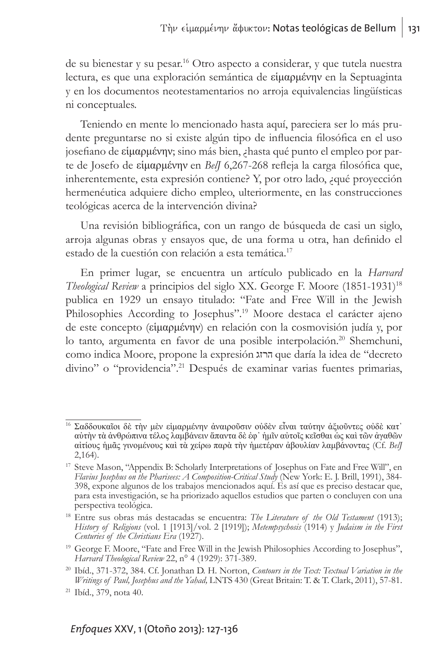de su bienestar y su pesar.16 Otro aspecto a considerar, y que tutela nuestra lectura, es que una exploración semántica de εἱμαρμένην en la Septuaginta y en los documentos neotestamentarios no arroja equivalencias lingüísticas ni conceptuales.

Teniendo en mente lo mencionado hasta aquí, pareciera ser lo más prudente preguntarse no si existe algún tipo de influencia filosófica en el uso josefiano de εἱμαρμένην; sino más bien, ¿hasta qué punto el empleo por parte de Josefo de εἱμαρμένην en *BelJ* 6,267-268 refleja la carga filosófica que, inherentemente, esta expresión contiene? Y, por otro lado, ¿qué proyección hermenéutica adquiere dicho empleo, ulteriormente, en las construcciones teológicas acerca de la intervención divina?

Una revisión bibliográfica, con un rango de búsqueda de casi un siglo, arroja algunas obras y ensayos que, de una forma u otra, han definido el estado de la cuestión con relación a esta temática.<sup>17</sup>

En primer lugar, se encuentra un artículo publicado en la *Harvard Theological Review* a principios del siglo XX. George F. Moore (1851-1931)18 publica en 1929 un ensayo titulado: "Fate and Free Will in the Jewish Philosophies According to Josephus".<sup>19</sup> Moore destaca el carácter ajeno de este concepto (εἱμαρμένην) en relación con la cosmovisión judía y, por lo tanto, argumenta en favor de una posible interpolación.<sup>20</sup> Shemchuni, como indica Moore, propone la expresión הרזג que daría la idea de "decreto divino" o "providencia".21 Después de examinar varias fuentes primarias,

<sup>16</sup> Σαδδουκαῖοι δὲ τὴν μὲν εἱμαρμένην ἀναιροῦσιν οὐδὲν εἶναι ταύτην ἀξιοῦντες οὐδὲ κατ᾽ αὐτὴν τὰ ἀνθρώπινα τέλος λαμβάνειν ἅπαντα δὲ ἐφ᾽ ἡμῖν αὐτοῖς κεῖσθαι ὡς καὶ τῶν ἀγαθῶν αἰτίους ἡμᾶς γινομένους καὶ τὰ χείρω παρὰ τὴν ἡμετέραν ἀβουλίαν λαμβάνοντας (Cf. *BelJ* 2,164).

<sup>&</sup>lt;sup>17</sup> Steve Mason, "Appendix B: Scholarly Interpretations of Josephus on Fate and Free Will", en *Flavius Josephus on the Pharisees: A Composition-Critical Study* (New York: E. J. Brill, 1991), 384- 398, expone algunos de los trabajos mencionados aquí. Es así que es preciso destacar que, para esta investigación, se ha priorizado aquellos estudios que parten o concluyen con una perspectiva teológica.

<sup>18</sup> Entre sus obras más destacadas se encuentra: *The Literature of the Old Testament* (1913); *History of Religions* (vol. 1 [1913]/vol. 2 [1919]); *Metempsychosis* (1914) y *Judaism in the First Centuries of the Christians Era* (1927).

<sup>&</sup>lt;sup>19</sup> George F. Moore, "Fate and Free Will in the Jewish Philosophies According to Josephus", *Harvard Theological Review* 22,  $n^{\circ}$  4 (1929): 371-389.

*Harvard Theological Review* 22, n° 4 (1929): 371-389. 20 Ibíd., 371-372, 384. Cf. Jonathan D. H. Norton, *Contours in the Text: Textual Variation in the Writings of Paul, Josephus and the Yah*i*ad,* LNTS 430 (Great Britain: T. & T. Clark, 2011), 57-81.

<sup>21</sup> Ibíd., 379, nota 40.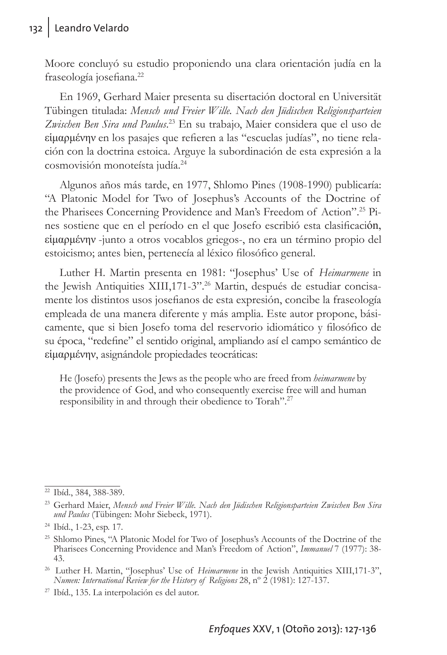Moore concluyó su estudio proponiendo una clara orientación judía en la fraseología josefiana.<sup>22</sup>

En 1969, Gerhard Maier presenta su disertación doctoral en Universität Tübingen titulada: *Mensch und Freier Wille. Nach den Jüdischen Religionsparteien*  Zwischen Ben Sira und Paulus.<sup>23</sup> En su trabajo, Maier considera que el uso de εἱμαρμένην en los pasajes que refieren a las "escuelas judías", no tiene relación con la doctrina estoica. Arguye la subordinación de esta expresión a la cosmovisión monoteísta judía.24

Algunos años más tarde, en 1977, Shlomo Pines (1908-1990) publicaría: "A Platonic Model for Two of Josephus's Accounts of the Doctrine of the Pharisees Concerning Providence and Man's Freedom of Action".25 Pines sostiene que en el período en el que Josefo escribió esta clasificación, εἱμαρμένην -junto a otros vocablos griegos-, no era un término propio del estoicismo; antes bien, pertenecía al léxico filosófico general.

Luther H. Martin presenta en 1981: "Josephus' Use of *Heimarmene* in the Jewish Antiquities XIII,171-3".<sup>26</sup> Martin, después de estudiar concisamente los distintos usos josefianos de esta expresión, concibe la fraseología empleada de una manera diferente y más amplia. Este autor propone, básicamente, que si bien Josefo toma del reservorio idiomático y filosófico de su época, "redefine" el sentido original, ampliando así el campo semántico de εἱμαρμένην, asignándole propiedades teocráticas:

He (Josefo) presents the Jews as the people who are freed from *heimarmene* by the providence of God, and who consequently exercise free will and human responsibility in and through their obedience to Torah".27

<sup>22</sup> Ibíd., 384, 388-389.

<sup>23</sup> Gerhard Maier, *Mensch und Freier Wille. Nach den Jüdischen Religionsparteien Zwischen Ben Sira und Paulus* (Tübingen: Mohr Siebeck, 1971).

<sup>24</sup> Ibíd., 1-23, esp. 17.

<sup>&</sup>lt;sup>25</sup> Shlomo Pines, "A Platonic Model for Two of Josephus's Accounts of the Doctrine of the Pharisees Concerning Providence and Man's Freedom of Action", *Immanuel* 7 (1977): 38- 43.

<sup>26</sup> Luther H. Martin, "Josephus' Use of *Heimarmene* in the Jewish Antiquities XIII,171-3", *Numen: International Review for the History of Religions* 28, nº 2 (1981): 127-137.

<sup>27</sup> Ibíd., 135. La interpolación es del autor.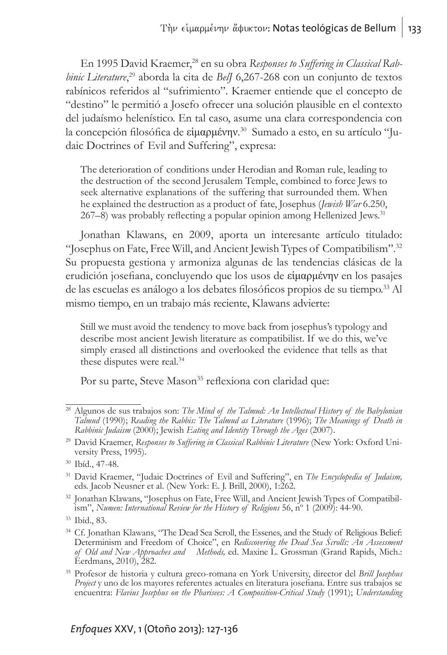En 1995 David Kraemer,28 en su obra *Responses to Suffering in Classical Rabbinic Literature*, 29 aborda la cita de *BelJ* 6,267-268 con un conjunto de textos rabínicos referidos al "sufrimiento". Kraemer entiende que el concepto de "destino" le permitió a Josefo ofrecer una solución plausible en el contexto del judaísmo helenístico. En tal caso, asume una clara correspondencia con la concepción filosófica de εἱμαρμένην. 30 Sumado a esto, en su artículo "Judaic Doctrines of Evil and Suffering", expresa:

The deterioration of conditions under Herodian and Roman rule, leading to the destruction of the second Jerusalem Temple, combined to force Jews to seek alternative explanations of the suffering that surrounded them. When he explained the destruction as a product of fate, Josephus (*Jewish War* 6.250, 267–8) was probably reflecting a popular opinion among Hellenized Jews.<sup>31</sup>

Jonathan Klawans, en 2009, aporta un interesante artículo titulado: "Josephus on Fate, Free Will, and Ancient Jewish Types of Compatibilism".32 Su propuesta gestiona y armoniza algunas de las tendencias clásicas de la erudición josefiana, concluyendo que los usos de εἱμαρμένην en los pasajes de las escuelas es análogo a los debates filosóficos propios de su tiempo.33 Al mismo tiempo, en un trabajo más reciente, Klawans advierte:

Still we must avoid the tendency to move back from josephus's typology and describe most ancient Jewish literature as compatibilist. If we do this, we've simply erased all distinctions and overlooked the evidence that tells as that these disputes were real.<sup>34</sup>

Por su parte, Steve Mason<sup>35</sup> reflexiona con claridad que:

<sup>28</sup> Algunos de sus trabajos son: *The Mind of the Talmud: An Intellectual History of the Babylonian Talmud* (1990); *Reading the Rabbis: The Talmud as Literature* (1996); *The Meanings of Death in Rabbinic Judaism* (2000); Jewish *Eating and Identity Through the Ages* (2007).

<sup>29</sup> David Kraemer, *Responses to Suffering in Classical Rabbinic Literature* (New York: Oxford University Press, 1995).

<sup>30</sup> Ibíd., 47-48.

<sup>31</sup> David Kraemer, "Judaic Doctrines of Evil and Suffering", en *The Encyclopedia of Judaism,*  eds. Jacob Neusner et al. (New York: E. J. Brill, 2000), 1:262.

<sup>32</sup> Jonathan Klawans, "Josephus on Fate, Free Will, and Ancient Jewish Types of Compatibilism", *Numen: International Review for the History of Religions* 56, n<sup>o</sup> 1 (2009): 44-90.

<sup>33</sup> Ibid., 83.

<sup>&</sup>lt;sup>34</sup> Cf. Jonathan Klawans, "The Dead Sea Scroll, the Essenes, and the Study of Religious Belief: Determinism and Freedom of Choice", en *Rediscovering the Dead Sea Scrolls: An Assessment of Old and New Approaches and Methods,* ed. Maxine L. Grossman (Grand Rapids, Mich.: Eerdmans, 2010), 282.

<sup>35</sup> Profesor de historia y cultura greco-romana en York University, director del *Brill Josephus*  encuentra: *Flavius Josephus on the Pharisees: A Composition-Critical Study (1991); Understanding*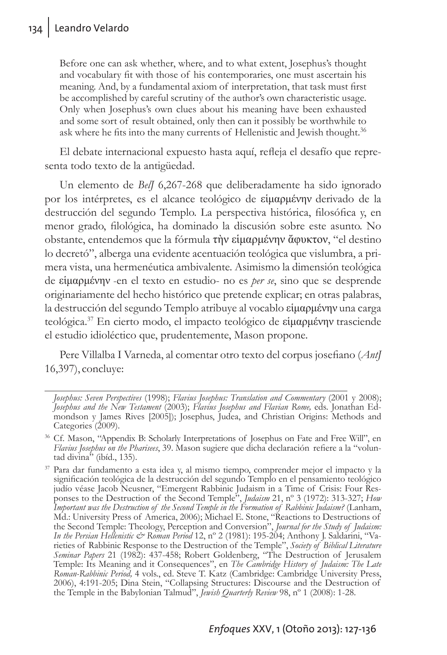Before one can ask whether, where, and to what extent, Josephus's thought and vocabulary fit with those of his contemporaries, one must ascertain his meaning. And, by a fundamental axiom of interpretation, that task must first be accomplished by careful scrutiny of the author's own characteristic usage. Only when Josephus's own clues about his meaning have been exhausted and some sort of result obtained, only then can it possibly be worthwhile to ask where he fits into the many currents of Hellenistic and Jewish thought.<sup>36</sup>

El debate internacional expuesto hasta aquí, refleja el desafío que representa todo texto de la antigüedad.

Un elemento de *BelJ* 6,267-268 que deliberadamente ha sido ignorado por los intérpretes, es el alcance teológico de εἱμαρμένην derivado de la destrucción del segundo Templo. La perspectiva histórica, filosófica y, en menor grado, filológica, ha dominado la discusión sobre este asunto. No obstante, entendemos que la fórmula τὴν εἱμαρμένην ἄφυκτον, "el destino lo decretó", alberga una evidente acentuación teológica que vislumbra, a primera vista, una hermenéutica ambivalente. Asimismo la dimensión teológica de εἱμαρμένην -en el texto en estudio- no es *per se*, sino que se desprende originariamente del hecho histórico que pretende explicar; en otras palabras, la destrucción del segundo Templo atribuye al vocablo εἱμαρμένην una carga teológica.37 En cierto modo, el impacto teológico de εἱμαρμένην trasciende el estudio idioléctico que, prudentemente, Mason propone.

Pere Villalba I Varneda, al comentar otro texto del corpus josefiano (*AntJ* 16,397), concluye:

*Josephus: Seven Perspectives* (1998); *Flavius Josephus: Translation and Commentary* (2001 y 2008); *Josephus and the New Testament* (2003); *Flavius Josephus and Flavian Rome,* eds. Jonathan Edmondson y James Rives [2005]); Josephus, Judea, and Christian Origins: Methods and Categories (2009).

<sup>36</sup> Cf. Mason, "Appendix B: Scholarly Interpretations of Josephus on Fate and Free Will", en *Flavius Josephus on the Pharisees*, 39. Mason sugiere que dicha declaración refiere a la "voluntad divina $\dot{m}$  (ibíd., 135).

<sup>37</sup> Para dar fundamento a esta idea y, al mismo tiempo, comprender mejor el impacto y la significación teológica de la destrucción del segundo Templo en el pensamiento teológico judío véase Jacob Neusner, "Emergent Rabbinic Judaism in a Time of Crisis: Four Responses to the Destruction of the Second Temple", *Judaism* 21, nº 3 (1972): 313-327; *How Important was the Destruction of the Second Temple in the Formation of Rabbinic Judaism?* (Lanham, Md.: University Press of America, 2006); Michael E. Stone, "Reactions to Destructions of the Second Temple: Theology, Perception and Conversion", *Journal for the Study of Judaism: In the Persian Hellenistic & Roman Period* 12, nº 2 (1981): 195-204; Anthony J. Saldarini, "Varieties of Rabbinic Response to the Destruction of the Temple", *Society of Biblical Literature Seminar Papers* 21 (1982): 437-458; Robert Goldenberg, "The Destruction of Jerusalem Temple: Its Meaning and it Consequences", en *The Cambridge History of Judaism: The Late Roman-Rabbinic Period,* 4 vols., ed. Steve T. Katz (Cambridge: Cambridge University Press, 2006), 4:191-205; Dina Stein, "Collapsing Structures: Discourse and the Destruction of the Temple in the Babylonian Talmud", *Jewish Quarterly Review* 98, nº 1 (2008): 1-28.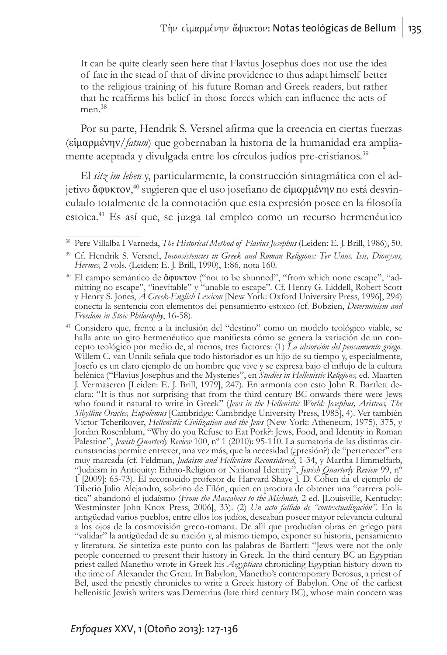It can be quite clearly seen here that Flavius Josephus does not use the idea of fate in the stead of that of divine providence to thus adapt himself better to the religious training of his future Roman and Greek readers, but rather that he reaffirms his belief in those forces which can influence the acts of men<sup>38</sup>

Por su parte, Hendrik S. Versnel afirma que la creencia en ciertas fuerzas (εἱμαρμένην/*fatum*) que gobernaban la historia de la humanidad era ampliamente aceptada y divulgada entre los círculos judíos pre-cristianos.<sup>39</sup>

El *sitz im leben* y, particularmente, la construcción sintagmática con el adjetivo ἄφυκτον, <sup>40</sup> sugieren que el uso josefiano de εἱμαρμένην no está desvinculado totalmente de la connotación que esta expresión posee en la filosofía estoica.41 Es así que, se juzga tal empleo como un recurso hermenéutico

<sup>38</sup> Pere Villalba I Varneda, *The Historical Method of Flavius Josephus* (Leiden: E. J. Brill, 1986), 50. 39 Cf. Hendrik S. Versnel, *Inconsistencies in Greek and Roman Religions: Ter Unus. Isis, Dionysos,* 

*Hermes,* 2 vols. (Leiden: E. J. Brill, 1990), 1:86, nota 160.

<sup>&</sup>lt;sup>40</sup> El campo semántico de ἄφυκτον ("not to be shunned", "from which none escape", "admitting no escape", "inevitable" y "unable to escape". Cf. Henry G. Liddell, Robert Scott y Henry S. Jones, *A Greek-English Lexicon* [New York: Oxford University Press, 1996], 294) conecta la sentencia con elementos del pensamiento estoico (cf. Bobzien, *Determinism and Freedom in Stoic Philosophy*, 16-58).

<sup>41</sup> Considero que, frente a la inclusión del "destino" como un modelo teológico viable, se cepto teológico por medio de, al menos, tres factores: (1) *La absorción del pensamiento griego*.<br>Willem C. van Unnik señala que todo historiador es un hijo de su tiempo y, especialmente, Josefo es un claro ejemplo de un hombre que vive y se expresa bajo el influjo de la cultura helénica ("Flavius Josephus and the Mysteries", en *Studies in Hellenistic Religions,* ed. Maarten J. Vermaseren [Leiden: E. J. Brill, 1979], 247). En armonía con esto John R. Bartlett declara: "It is thus not surprising that from the third century BC onwards there were Jews who found it natural to write in Greek" (*Jews in the Hellenistic World: Josephus, Aristeas, The Sibylline Oracles, Eupolemus* [Cambridge: Cambridge University Press, 1985], 4). Ver también Victor Tcherikover, *Hellenistic Civilization and the Jews* (New York: Atheneum, 1975), 375, y Jordan Rosenblum, "Why do you Refuse to Eat Pork?: Jews, Food, and Identity in Roman Palestine", *Jewish Quarterly Review* 100, nº 1 (2010): 95-110. La sumatoria de las distintas circunstancias permite entrever, una vez más, que la necesidad (¿presión?) de "pertenecer" era muy marcada (cf. Feldman, *Judaism and Hellenism Reconsidered*, 1-34, y Martha Himmelfarb, "Judaism in Antiquity: Ethno-Religion or National Identity", *Jewish Quarterly Review* 99, nº 1 [2009]: 65-73). El reconocido profesor de Harvard Shaye J. D. Cohen da el ejemplo de Tiberio Julio Alejandro, sobrino de Filón, quien en procura de obtener una "carrera política" abandonó el judaísmo (*From the Maccabees to the Mishnah,* 2 ed. [Louisville, Kentucky: Westminster John Knox Press, 2006], 33). (2) *Un acto fallido de "contextualización"*. En la antigüedad varios pueblos, entre ellos los judíos, deseaban poseer mayor relevancia cultural a los ojos de la cosmovisión greco-romana. De allí que producían obras en griego para "validar" la antigüedad de su nación y, al mismo tiempo, exponer su historia, pensamiento y literatura. Se sintetiza este punto con las palabras de Bartlett: "Jews were not the only people concerned to present their history in Greek. In the third century BC an Egyptian priest called Manetho wrote in Greek his *Aegyptiaca* chronicling Egyptian history down to the time of Alexander the Great. In Babylon, Manetho's contemporary Berosus, a priest of Bel, used the priestly chronicles to write a Greek history of Babylon. One of the earliest hellenistic Jewish writers was Demetrius (late third century BC), whose main concern was